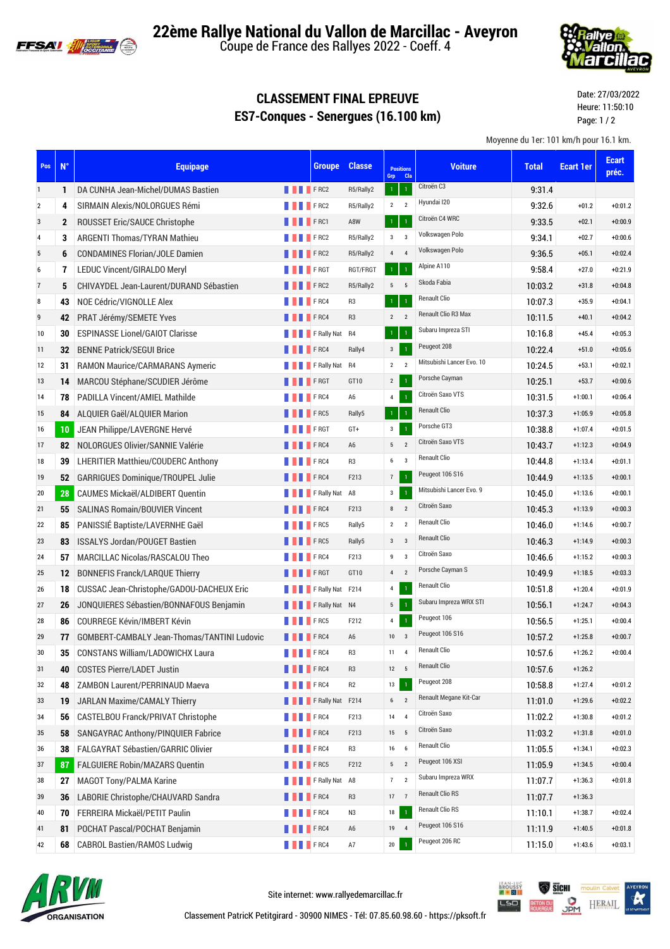

**22ème Rallye National du Vallon de Marcillac - Aveyron**

Coupe de France des Rallyes 2022 - Coeff. 4



## **CLASSEMENT FINAL EPREUVE ES7-Conques - Senergues (16.100 km)**

Date: 27/03/2022 Heure: 11:50:10 Page: 1 / 2

Moyenne du 1er: 101 km/h pour 16.1 km.

| Pos            | $N^{\circ}$  | <b>Equipage</b>                             |                    | <b>Groupe</b>          | <b>Classe</b>  | Grp             | <b>Positions</b><br><b>Cla</b> | <b>Voiture</b>            | <b>Total</b> | <b>Ecart 1er</b> | <b>Ecart</b><br>préc. |
|----------------|--------------|---------------------------------------------|--------------------|------------------------|----------------|-----------------|--------------------------------|---------------------------|--------------|------------------|-----------------------|
| $\mathbf{1}$   | 1            | DA CUNHA Jean-Michel/DUMAS Bastien          | <b>THEFRC2</b>     |                        | R5/Rally2      | $\mathbf 1$     | $\mathbf{1}$                   | Citroën C3                | 9:31.4       |                  |                       |
| $\overline{2}$ | 4            | SIRMAIN Alexis/NOLORGUES Rémi               | <b>FRC2</b>        |                        | R5/Rally2      | $2 \quad 2$     |                                | Hyundai I20               | 9:32.6       | $+01.2$          | $+0:01.2$             |
| 3              | $\mathbf{2}$ | ROUSSET Eric/SAUCE Christophe               | <b>FRC1</b>        |                        | A8W            | $\mathbf{1}$    | $\mathbf{1}$                   | Citroën C4 WRC            | 9.33.5       | $+02.1$          | $+0:00.9$             |
| $\overline{4}$ | 3            | <b>ARGENTI Thomas/TYRAN Mathieu</b>         |                    | <b>FRC2</b>            | R5/Rally2      | $\mathbf{3}$    | $\overline{\mathbf{3}}$        | Volkswagen Polo           | 9:34.1       | $+02.7$          | $+0:00.6$             |
| 5              | 6            | <b>CONDAMINES Florian/JOLE Damien</b>       | <b>I</b> FRC2      |                        | R5/Rally2      | $\overline{4}$  | $\overline{4}$                 | Volkswagen Polo           | 9:36.5       | $+05.1$          | $+0:02.4$             |
| 6              | 7            | <b>LEDUC Vincent/GIRALDO Meryl</b>          |                    | <b>FRGT</b>            | RGT/FRGT       | $1^\circ$       | $\overline{1}$                 | Alpine A110               | 9:58.4       | $+27.0$          | $+0:21.9$             |
| $\overline{7}$ | 5            | CHIVAYDEL Jean-Laurent/DURAND Sébastien     | <b>THEFRC2</b>     |                        | R5/Rally2      | $5 \qquad 5$    |                                | Skoda Fabia               | 10:03.2      | $+31.8$          | $+0:04.8$             |
| 8              | 43           | NOE Cédric/VIGNOLLE Alex                    | <b>THEFRC4</b>     |                        | R <sub>3</sub> | $\,1\,$         | $\,1\,$                        | <b>Renault Clio</b>       | 10:07.3      | $+35.9$          | $+0:04.1$             |
| 9              | 42           | PRAT Jérémy/SEMETE Yves                     | <b>FRC4</b>        |                        | R <sub>3</sub> | $\overline{2}$  | $\overline{2}$                 | Renault Clio R3 Max       | 10:11.5      | $+40.1$          | $+0:04.2$             |
| 10             | 30           | <b>ESPINASSE Lionel/GAIOT Clarisse</b>      |                    | <b>FRally Nat R4</b>   |                | $\,1\,$         | $\overline{1}$                 | Subaru Impreza STI        | 10:16.8      | $+45.4$          | $+0:05.3$             |
| 11             | 32           | <b>BENNE Patrick/SEGUI Brice</b>            |                    | F <sub>RC4</sub>       | Rally4         | $3^{\circ}$     | $\mathbf{1}$                   | Peugeot 208               | 10:22.4      | $+51.0$          | $+0:05.6$             |
| 12             | 31           | <b>RAMON Maurice/CARMARANS Aymeric</b>      |                    | <b>FRally Nat R4</b>   |                | $2 \quad 2$     |                                | Mitsubishi Lancer Evo. 10 | 10:24.5      | $+53.1$          | $+0:02.1$             |
| 13             | 14           | MARCOU Stéphane/SCUDIER Jérôme              | <b>NORTH PERST</b> |                        | GT10           | $2^{\circ}$     | $\overline{1}$                 | Porsche Cayman            | 10:25.1      | $+53.7$          | $+0:00.6$             |
| 14             | 78           | <b>PADILLA Vincent/AMIEL Mathilde</b>       | <b>FRC4</b>        |                        | A6             | $\overline{4}$  | $\mathbf 1$                    | Citroën Saxo VTS          | 10:31.5      | $+1:00.1$        | $+0:06.4$             |
| 15             | 84           | ALQUIER Gaël/ALQUIER Marion                 |                    | <b>FRC5</b>            | Rally5         | $1^\circ$       | $\overline{1}$                 | <b>Renault Clio</b>       | 10:37.3      | $+1:05.9$        | $+0:05.8$             |
| 16             | 10           | JEAN Philippe/LAVERGNE Hervé                |                    | <b>FRGT</b>            | GT+            | $\mathbf{3}$    | $\,1\,$                        | Porsche GT3               | 10:38.8      | $+1:07.4$        | $+0:01.5$             |
| 17             | 82           | NOLORGUES Olivier/SANNIE Valérie            | <b>FRC4</b>        |                        | A <sub>6</sub> | $5\phantom{.0}$ | $\overline{2}$                 | Citroën Saxo VTS          | 10:43.7      | $+1:12.3$        | $+0:04.9$             |
| 18             | 39           | <b>LHERITIER Matthieu/COUDERC Anthony</b>   |                    | <b>FRC4</b>            | R <sub>3</sub> | $6 \qquad 3$    |                                | <b>Renault Clio</b>       | 10:44.8      | $+1:13.4$        | $+0:01.1$             |
| 19             | 52           | <b>GARRIGUES Dominique/TROUPEL Julie</b>    | <b>FRC4</b>        |                        | F213           | 7               | $\,1\,$                        | Peugeot 106 S16           | 10:44.9      | $+1:13.5$        | $+0:00.1$             |
| 20             | 28           | CAUMES Mickaël/ALDIBERT Quentin             |                    | <b>FRally Nat A8</b>   |                | $\mathbf{3}$    | $\mathbf{1}$                   | Mitsubishi Lancer Evo. 9  | 10:45.0      | $+1:13.6$        | $+0:00.1$             |
| 21             | 55           | <b>SALINAS Romain/BOUVIER Vincent</b>       |                    | $\blacksquare$ FRC4    | F213           | 8               | $\overline{2}$                 | Citroën Saxo              | 10.45.3      | $+1:13.9$        | $+0:00.3$             |
| 22             | 85           | PANISSIÉ Baptiste/LAVERNHE Gaël             |                    | F <sub>RC5</sub>       | Rally5         | $\overline{2}$  | $\overline{2}$                 | <b>Renault Clio</b>       | 10:46.0      | $+1:14.6$        | $+0:00.7$             |
| 23             | 83           | <b>ISSALYS Jordan/POUGET Bastien</b>        | <b>FRC5</b>        |                        | Rally5         | $3 \qquad 3$    |                                | <b>Renault Clio</b>       | 10:46.3      | $+1:14.9$        | $+0:00.3$             |
| 24             | 57           | MARCILLAC Nicolas/RASCALOU Theo             | <b>FRC4</b>        |                        | F213           | 9               | $\overline{3}$                 | Citroën Saxo              | 10:46.6      | $+1:15.2$        | $+0:00.3$             |
| 25             | 12           | <b>BONNEFIS Franck/LARQUE Thierry</b>       | <b>THEFRGT</b>     |                        | GT10           | $\overline{4}$  | $\overline{2}$                 | Porsche Cayman S          | 10:49.9      | $+1:18.5$        | $+0:03.3$             |
| 26             | 18           | CUSSAC Jean-Christophe/GADOU-DACHEUX Eric   |                    | FRally Nat F214        |                | $\overline{4}$  | $\,1\,$                        | <b>Renault Clio</b>       | 10:51.8      | $+1:20.4$        | $+0:01.9$             |
| 27             | 26           | JONQUIERES Sébastien/BONNAFOUS Benjamin     |                    | F Rally Nat N4         |                | 5 <sub>5</sub>  | $\overline{1}$                 | Subaru Impreza WRX STI    | 10:56.1      | $+1:24.7$        | $+0:04.3$             |
| 28             | 86           | <b>COURREGE Kévin/IMBERT Kévin</b>          |                    | <b>FRC5</b>            | F212           | $\overline{4}$  | $\mathbf 1$                    | Peugeot 106               | 10:56.5      | $+1:25.1$        | $+0:00.4$             |
| 29             | 77           | GOMBERT-CAMBALY Jean-Thomas/TANTINI Ludovic | <b>FRC4</b>        |                        | A <sub>6</sub> | 10              | $\overline{\mathbf{3}}$        | Peugeot 106 S16           | 10:57.2      | $+1:25.8$        | $+0:00.7$             |
| 30             | 35           | <b>CONSTANS William/LADOWICHX Laura</b>     | <b>FRC4</b>        |                        | R <sub>3</sub> | 11              | $\overline{4}$                 | <b>Renault Clio</b>       | 10:57.6      | $+1:26.2$        | $+0:00.4$             |
| 31             | 40           | <b>COSTES Pierre/LADET Justin</b>           | <b>FRC4</b>        |                        | R <sub>3</sub> | $12 \qquad 5$   |                                | <b>Renault Clio</b>       | 10:57.6      | $+1:26.2$        |                       |
| 32             | 48           | <b>ZAMBON Laurent/PERRINAUD Maeva</b>       |                    | F <sub>RC4</sub>       | R2             | 13              | $\,1\,$                        | Peugeot 208               | 10:58.8      | $+1:27.4$        | $+0:01.2$             |
| 33             | 19           | JARLAN Maxime/CAMALY Thierry                |                    | <b>FRally Nat F214</b> |                | $6 \qquad 2$    |                                | Renault Megane Kit-Car    | 11:01.0      | $+1:29.6$        | $+0:02.2$             |
| 34             | 56           | CASTELBOU Franck/PRIVAT Christophe          | <b>FRC4</b>        |                        | F213           | 14 4            |                                | Citroën Saxo              | 11:02.2      | $+1:30.8$        | $+0:01.2$             |
| 35             | 58           | SANGAYRAC Anthony/PINQUIER Fabrice          | <b>FRC4</b>        |                        | F213           | $15\,$          | $-5$                           | Citroën Saxo              | 11:03.2      | $+1:31.8$        | $+0:01.0$             |
| 36             | 38           | FALGAYRAT Sébastien/GARRIC Olivier          |                    | FRC4                   | R <sub>3</sub> | 16              | 6                              | Renault Clio              | 11:05.5      | $+1:34.1$        | $+0:02.3$             |
| 37             | 87           | <b>FALGUIERE Robin/MAZARS Quentin</b>       | <b>FRC5</b>        |                        | F212           | $5\qquad2$      |                                | Peugeot 106 XSI           | 11:05.9      | $+1:34.5$        | $+0:00.4$             |
| 38             | 27           | <b>MAGOT Tony/PALMA Karine</b>              |                    | F Rally Nat A8         |                | 7               | $\overline{2}$                 | Subaru Impreza WRX        | 11:07.7      | $+1:36.3$        | $+0:01.8$             |
| 39             | 36           | LABORIE Christophe/CHAUVARD Sandra          | <b>FRC4</b>        |                        | R <sub>3</sub> | 17              | $\overline{7}$                 | Renault Clio RS           | 11:07.7      | $+1:36.3$        |                       |
| 40             | 70           | FERREIRA Mickaël/PETIT Paulin               |                    | <b>FRC4</b>            | N3             | 18              | $\mathbf 1$                    | Renault Clio RS           | 11:10.1      | $+1:38.7$        | $+0:02.4$             |
| 41             | 81           | POCHAT Pascal/POCHAT Benjamin               | <b>FRC4</b>        |                        | A <sub>6</sub> | 19 4            |                                | Peugeot 106 S16           | 11:11.9      | $+1:40.5$        | $+0:01.8$             |
| 42             | 68           | <b>CABROL Bastien/RAMOS Ludwig</b>          | <b>THEFRC4</b>     |                        | $\mathsf{A}7$  | 20              |                                | Peugeot 206 RC            | 11:15.0      | $+1:43.6$        | $+0:03.1$             |